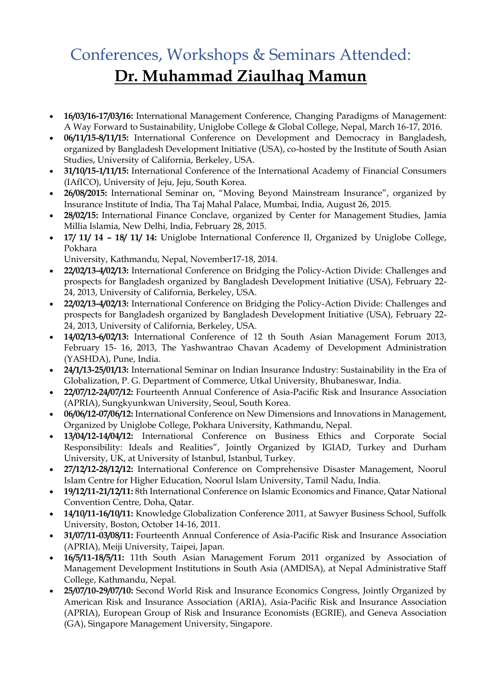## Conferences, Workshops & Seminars Attended: **Dr. Muhammad Ziaulhaq Mamun**

- **16/03/16-17/03/16:** International Management Conference, Changing Paradigms of Management: A Way Forward to Sustainability, Uniglobe College & Global College, Nepal, March 16-17, 2016.
- **06/11/15-8/11/15:** International Conference on Development and Democracy in Bangladesh, organized by Bangladesh Development Initiative (USA), co-hosted by the Institute of South Asian Studies, University of California, Berkeley, USA.
- **31/10/15-1/11/15:** International Conference of the International Academy of Financial Consumers (IAfICO), University of Jeju, Jeju, South Korea.
- **26/08/2015:** International Seminar on, "Moving Beyond Mainstream Insurance", organized by Insurance Institute of India, Tha Taj Mahal Palace, Mumbai, India, August 26, 2015.
- **28/02/15:** International Finance Conclave, organized by Center for Management Studies, Jamia Millia Islamia, New Delhi, India, February 28, 2015.
- **17/ 11/ 14 – 18/ 11/ 14:** Uniglobe International Conference II, Organized by Uniglobe College, Pokhara

University, Kathmandu, Nepal, November17-18, 2014.

- **22/02/13-4/02/13:** International Conference on Bridging the Policy-Action Divide: Challenges and prospects for Bangladesh organized by Bangladesh Development Initiative (USA), February 22- 24, 2013, University of California, Berkeley, USA.
- **22/02/13-4/02/13:** International Conference on Bridging the Policy-Action Divide: Challenges and prospects for Bangladesh organized by Bangladesh Development Initiative (USA), February 22- 24, 2013, University of California, Berkeley, USA.
- **14/02/13-6/02/13:** International Conference of 12 th South Asian Management Forum 2013, February 15- 16, 2013, The Yashwantrao Chavan Academy of Development Administration (YASHDA), Pune, India.
- **24/1/13-25/01/13:** International Seminar on Indian Insurance Industry: Sustainability in the Era of Globalization, P. G. Department of Commerce, Utkal University, Bhubaneswar, India.
- **22/07/12-24/07/12:** Fourteenth Annual Conference of Asia-Pacific Risk and Insurance Association (APRIA), Sungkyunkwan University, Seoul, South Korea.
- **06/06/12-07/06/12:** International Conference on New Dimensions and Innovations in Management, Organized by Uniglobe College, Pokhara University, Kathmandu, Nepal.
- **13/04/12-14/04/12:** International Conference on Business Ethics and Corporate Social Responsibility: Ideals and Realities", Jointly Organized by IGIAD, Turkey and Durham University, UK, at University of Istanbul, Istanbul, Turkey.
- **27/12/12-28/12/12:** International Conference on Comprehensive Disaster Management, Noorul Islam Centre for Higher Education, Noorul Islam University, Tamil Nadu, India.
- **19/12/11-21/12/11:** 8th International Conference on Islamic Economics and Finance, Qatar National Convention Centre, Doha, Qatar.
- **14/10/11-16/10/11:** Knowledge Globalization Conference 2011, at Sawyer Business School, Suffolk University, Boston, October 14-16, 2011.
- **31/07/11-03/08/11:** Fourteenth Annual Conference of Asia-Pacific Risk and Insurance Association (APRIA), Meiji University, Taipei, Japan.
- **16/5/11-18/5/11:** 11th South Asian Management Forum 2011 organized by Association of Management Development Institutions in South Asia (AMDISA), at Nepal Administrative Staff College, Kathmandu, Nepal.
- **25/07/10-29/07/10:** Second World Risk and Insurance Economics Congress, Jointly Organized by American Risk and Insurance Association (ARIA), Asia-Pacific Risk and Insurance Association (APRIA), European Group of Risk and Insurance Economists (EGRIE), and Geneva Association (GA), Singapore Management University, Singapore.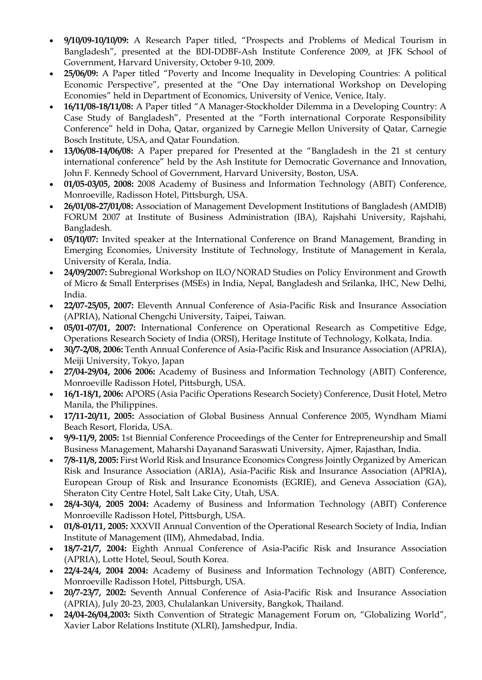- **9/10/09-10/10/09:** A Research Paper titled, "Prospects and Problems of Medical Tourism in Bangladesh", presented at the BDI-DDBF-Ash Institute Conference 2009, at JFK School of Government, Harvard University, October 9-10, 2009.
- **25/06/09:** A Paper titled "Poverty and Income Inequality in Developing Countries: A political Economic Perspective", presented at the "One Day international Workshop on Developing Economies" held in Department of Economics, University of Venice, Venice, Italy.
- **16/11/08-18/11/08:** A Paper titled "A Manager-Stockholder Dilemma in a Developing Country: A Case Study of Bangladesh", Presented at the "Forth international Corporate Responsibility Conference" held in Doha, Qatar, organized by Carnegie Mellon University of Qatar, Carnegie Bosch Institute, USA, and Qatar Foundation.
- **13/06/08-14/06/08:** A Paper prepared for Presented at the "Bangladesh in the 21 st century international conference" held by the Ash Institute for Democratic Governance and Innovation, John F. Kennedy School of Government, Harvard University, Boston, USA.
- **01/05-03/05, 2008:** 2008 Academy of Business and Information Technology (ABIT) Conference, Monroeville, Radisson Hotel, Pittsburgh, USA.
- **26/01/08-27/01/08:** Association of Management Development Institutions of Bangladesh (AMDIB) FORUM 2007 at Institute of Business Administration (IBA), Rajshahi University, Rajshahi, Bangladesh.
- **05/10/07:** Invited speaker at the International Conference on Brand Management, Branding in Emerging Economies, University Institute of Technology, Institute of Management in Kerala, University of Kerala, India.
- **24/09/2007:** Subregional Workshop on ILO/NORAD Studies on Policy Environment and Growth of Micro & Small Enterprises (MSEs) in India, Nepal, Bangladesh and Srilanka, IHC, New Delhi, India.
- **22/07-25/05, 2007:** Eleventh Annual Conference of Asia-Pacific Risk and Insurance Association (APRIA), National Chengchi University, Taipei, Taiwan.
- **05/01-07/01, 2007:** International Conference on Operational Research as Competitive Edge, Operations Research Society of India (ORSI), Heritage Institute of Technology, Kolkata, India.
- **30/7-2/08, 2006:** Tenth Annual Conference of Asia-Pacific Risk and Insurance Association (APRIA), Meiji University, Tokyo, Japan
- **27/04-29/04, 2006 2006:** Academy of Business and Information Technology (ABIT) Conference, Monroeville Radisson Hotel, Pittsburgh, USA.
- **16/1-18/1, 2006:** APORS (Asia Pacific Operations Research Society) Conference, Dusit Hotel, Metro Manila, the Philippines.
- **17/11-20/11, 2005:** Association of Global Business Annual Conference 2005, Wyndham Miami Beach Resort, Florida, USA.
- **9/9-11/9, 2005:** 1st Biennial Conference Proceedings of the Center for Entrepreneurship and Small Business Management, Maharshi Dayanand Saraswati University, Ajmer, Rajasthan, India.
- **7/8-11/8, 2005:** First World Risk and Insurance Economics Congress Jointly Organized by American Risk and Insurance Association (ARIA), Asia-Pacific Risk and Insurance Association (APRIA), European Group of Risk and Insurance Economists (EGRIE), and Geneva Association (GA), Sheraton City Centre Hotel, Salt Lake City, Utah, USA.
- **28/4-30/4, 2005 2004:** Academy of Business and Information Technology (ABIT) Conference Monroeville Radisson Hotel, Pittsburgh, USA.
- **01/8-01/11, 2005:** XXXVII Annual Convention of the Operational Research Society of India, Indian Institute of Management (IIM), Ahmedabad, India.
- **18/7-21/7, 2004:** Eighth Annual Conference of Asia-Pacific Risk and Insurance Association (APRIA), Lotte Hotel, Seoul, South Korea.
- **22/4-24/4, 2004 2004:** Academy of Business and Information Technology (ABIT) Conference, Monroeville Radisson Hotel, Pittsburgh, USA.
- **20/7-23/7, 2002:** Seventh Annual Conference of Asia-Pacific Risk and Insurance Association (APRIA), July 20-23, 2003, Chulalankan University, Bangkok, Thailand.
- **24/04-26/04,2003:** Sixth Convention of Strategic Management Forum on, "Globalizing World", Xavier Labor Relations Institute (XLRI), Jamshedpur, India.